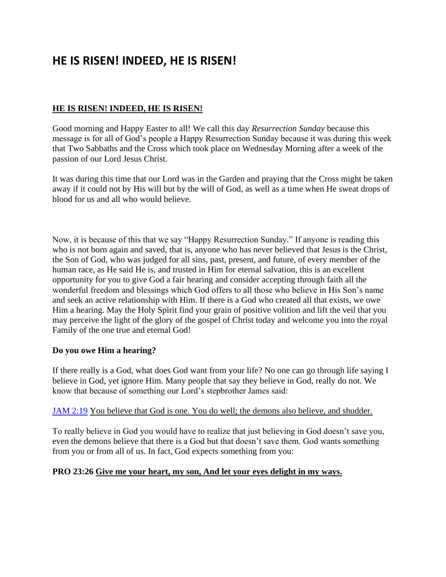# **HE IS RISEN! INDEED, HE IS RISEN!**

#### **HE IS RISEN! INDEED, HE IS RISEN!**

Good morning and Happy Easter to all! We call this day *Resurrection Sunday* because this message is for all of God's people a Happy Resurrection Sunday because it was during this week that Two Sabbaths and the Cross which took place on Wednesday Morning after a week of the passion of our Lord Jesus Christ.

It was during this time that our Lord was in the Garden and praying that the Cross might be taken away if it could not by His will but by the will of God, as well as a time when He sweat drops of blood for us and all who would believe.

Now, it is because of this that we say "Happy Resurrection Sunday." If anyone is reading this who is not born again and saved, that is, anyone who has never believed that Jesus is the Christ, the Son of God, who was judged for all sins, past, present, and future, of every member of the human race, as He said He is, and trusted in Him for eternal salvation, this is an excellent opportunity for you to give God a fair hearing and consider accepting through faith all the wonderful freedom and blessings which God offers to all those who believe in His Son's name and seek an active relationship with Him. If there is a God who created all that exists, we owe Him a hearing. May the Holy Spirit find your grain of positive volition and lift the veil that you may perceive the light of the glory of the gospel of Christ today and welcome you into the royal Family of the one true and eternal God!

#### **Do you owe Him a hearing?**

If there really is a God, what does God want from your life? No one can go through life saying I believe in God, yet ignore Him. Many people that say they believe in God, really do not. We know that because of something our Lord's stepbrother James said:

#### [JAM 2:19](https://www.bibleserver.com/NIV/James2%3A19) You believe that God is one. You do well; the demons also believe, and shudder.

To really believe in God you would have to realize that just believing in God doesn't save you, even the demons believe that there is a God but that doesn't save them. God wants something from you or from all of us. In fact, God expects something from you:

#### **PRO 23:26 Give me your heart, my son, And let your eyes delight in my ways.**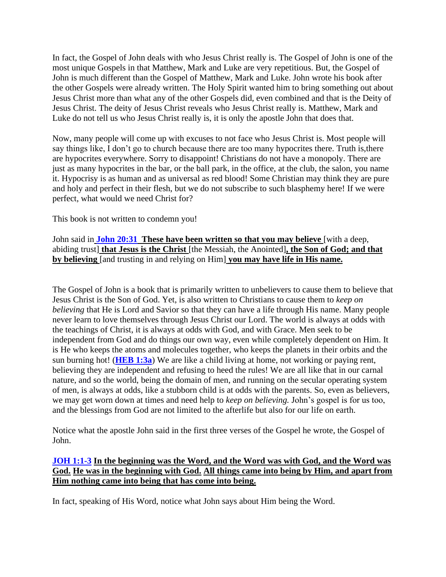In fact, the Gospel of John deals with who Jesus Christ really is. The Gospel of John is one of the most unique Gospels in that Matthew, Mark and Luke are very repetitious. But, the Gospel of John is much different than the Gospel of Matthew, Mark and Luke. John wrote his book after the other Gospels were already written. The Holy Spirit wanted him to bring something out about Jesus Christ more than what any of the other Gospels did, even combined and that is the Deity of Jesus Christ. The deity of Jesus Christ reveals who Jesus Christ really is. Matthew, Mark and Luke do not tell us who Jesus Christ really is, it is only the apostle John that does that.

Now, many people will come up with excuses to not face who Jesus Christ is. Most people will say things like, I don't go to church because there are too many hypocrites there. Truth is,there are hypocrites everywhere. Sorry to disappoint! Christians do not have a monopoly. There are just as many hypocrites in the bar, or the ball park, in the office, at the club, the salon, you name it. Hypocrisy is as human and as universal as red blood! Some Christian may think they are pure and holy and perfect in their flesh, but we do not subscribe to such blasphemy here! If we were perfect, what would we need Christ for?

This book is not written to condemn you!

John said in **[John 20:31](https://www.bibleserver.com/NIV/John20%3A31) These have been written so that you may believe** [with a deep, abiding trust] **that Jesus is the Christ** [the Messiah, the Anointed]**, the Son of God; and that by believing** [and trusting in and relying on Him] **you may have life in His name.**

The Gospel of John is a book that is primarily written to unbelievers to cause them to believe that Jesus Christ is the Son of God. Yet, is also written to Christians to cause them to *keep on believing* that He is Lord and Savior so that they can have a life through His name. Many people never learn to love themselves through Jesus Christ our Lord. The world is always at odds with the teachings of Christ, it is always at odds with God, and with Grace. Men seek to be independent from God and do things our own way, even while completely dependent on Him. It is He who keeps the atoms and molecules together, who keeps the planets in their orbits and the sun burning hot! (**[HEB 1:3a](https://www.bibleserver.com/NIV/Hebrews1%3A3)**) We are like a child living at home, not working or paying rent, believing they are independent and refusing to heed the rules! We are all like that in our carnal nature, and so the world, being the domain of men, and running on the secular operating system of men, is always at odds, like a stubborn child is at odds with the parents. So, even as believers, we may get worn down at times and need help to *keep on believing.* John's gospel is for us too, and the blessings from God are not limited to the afterlife but also for our life on earth.

Notice what the apostle John said in the first three verses of the Gospel he wrote, the Gospel of John.

## **[JOH 1:1-3](https://www.bibleserver.com/NIV/John1%3A1-3) In the beginning was the Word, and the Word was with God, and the Word was God. He was in the beginning with God. All things came into being by Him, and apart from Him nothing came into being that has come into being.**

In fact, speaking of His Word, notice what John says about Him being the Word.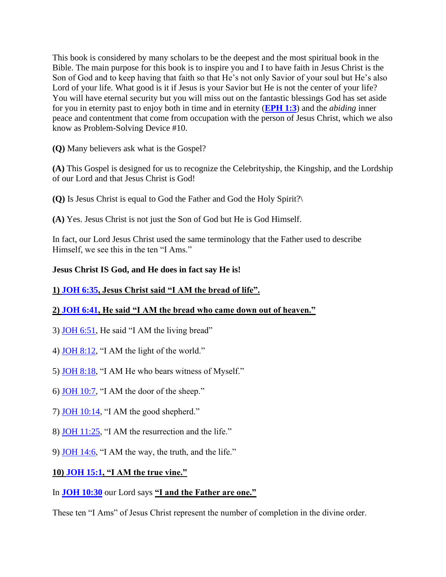This book is considered by many scholars to be the deepest and the most spiritual book in the Bible. The main purpose for this book is to inspire you and I to have faith in Jesus Christ is the Son of God and to keep having that faith so that He's not only Savior of your soul but He's also Lord of your life. What good is it if Jesus is your Savior but He is not the center of your life? You will have eternal security but you will miss out on the fantastic blessings God has set aside for you in eternity past to enjoy both in time and in eternity (**[EPH 1:3](https://www.bibleserver.com/NIV/Ephesians1%3A3)**) and the *abiding* inner peace and contentment that come from occupation with the person of Jesus Christ, which we also know as Problem-Solving Device #10.

**(Q)** Many believers ask what is the Gospel?

**(A)** This Gospel is designed for us to recognize the Celebrityship, the Kingship, and the Lordship of our Lord and that Jesus Christ is God!

**(Q)** Is Jesus Christ is equal to God the Father and God the Holy Spirit?\

**(A)** Yes. Jesus Christ is not just the Son of God but He is God Himself.

In fact, our Lord Jesus Christ used the same terminology that the Father used to describe Himself, we see this in the ten "I Ams."

# **Jesus Christ IS God, and He does in fact say He is!**

## **1) [JOH 6:35,](https://www.bibleserver.com/NIV/John6%3A35) Jesus Christ said "I AM the bread of life".**

# **2) [JOH 6:41,](https://www.bibleserver.com/NIV/John6%3A41) He said "I AM the bread who came down out of heaven."**

- 3) [JOH 6:51,](https://www.bibleserver.com/NIV/John6%3A51) He said "I AM the living bread"
- 4) [JOH 8:12,](https://www.bibleserver.com/NIV/John8%3A12) "I AM the light of the world."
- 5) [JOH 8:18,](https://www.bibleserver.com/NIV/John8%3A18) "I AM He who bears witness of Myself."
- 6) [JOH 10:7,](https://www.bibleserver.com/NIV/John10%3A7) "I AM the door of the sheep."
- 7) [JOH 10:14,](https://www.bibleserver.com/NIV/John10%3A14) "I AM the good shepherd."
- 8) [JOH 11:25,](https://www.bibleserver.com/NIV/John11%3A25) "I AM the resurrection and the life."
- 9) [JOH 14:6,](https://www.bibleserver.com/NIV/John14%3A6) "I AM the way, the truth, and the life."

## **10) [JOH 15:1,](https://www.bibleserver.com/NIV/John15%3A1) "I AM the true vine."**

## In **[JOH 10:30](https://www.bibleserver.com/NIV/John10%3A30)** our Lord says **"I and the Father are one."**

These ten "I Ams" of Jesus Christ represent the number of completion in the divine order.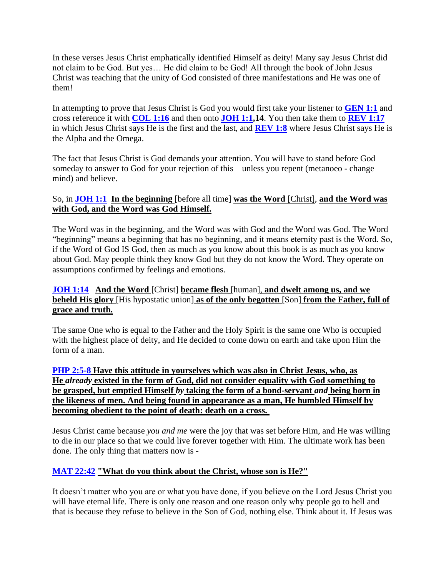In these verses Jesus Christ emphatically identified Himself as deity! Many say Jesus Christ did not claim to be God. But yes… He did claim to be God! All through the book of John Jesus Christ was teaching that the unity of God consisted of three manifestations and He was one of them!

In attempting to prove that Jesus Christ is God you would first take your listener to **[GEN 1:1](https://www.bibleserver.com/NIV/Genesis1%3A1)** and cross reference it with **[COL 1:16](https://www.bibleserver.com/NIV/Colossians1%3A16)** and then onto **[JOH 1:1,](https://www.bibleserver.com/NIV/John1%3A1)14**. You then take them to **[REV 1:17](https://www.bibleserver.com/NIV/Revelation1%3A17)** in which Jesus Christ says He is the first and the last, and **[REV 1:8](https://www.bibleserver.com/NIV/Revelation1%3A8)** where Jesus Christ says He is the Alpha and the Omega.

The fact that Jesus Christ is God demands your attention. You will have to stand before God someday to answer to God for your rejection of this – unless you repent (metanoeo - change mind) and believe.

# So, in **[JOH 1:1](https://www.bibleserver.com/NIV/John1%3A1) In the beginning** [before all time] **was the Word** [Christ], **and the Word was with God, and the Word was God Himself.**

The Word was in the beginning, and the Word was with God and the Word was God. The Word "beginning" means a beginning that has no beginning, and it means eternity past is the Word. So, if the Word of God IS God, then as much as you know about this book is as much as you know about God. May people think they know God but they do not know the Word. They operate on assumptions confirmed by feelings and emotions.

## **[JOH 1:14](https://www.bibleserver.com/NIV/John1%3A14) And the Word** [Christ] **became flesh** [human], **and dwelt among us, and we beheld His glory** [His hypostatic union] **as of the only begotten** [Son] **from the Father, full of grace and truth.**

The same One who is equal to the Father and the Holy Spirit is the same one Who is occupied with the highest place of deity, and He decided to come down on earth and take upon Him the form of a man.

**[PHP 2:5-8](https://www.bibleserver.com/NIV/Philippians2%3A5-8) Have this attitude in yourselves which was also in Christ Jesus, who, as He** *already* **existed in the form of God, did not consider equality with God something to be grasped, but emptied Himself** *by* **taking the form of a bond-servant** *and* **being born in the likeness of men. And being found in appearance as a man, He humbled Himself by becoming obedient to the point of death: death on a cross.**

Jesus Christ came because *you and me* were the joy that was set before Him, and He was willing to die in our place so that we could live forever together with Him. The ultimate work has been done. The only thing that matters now is -

## **[MAT 22:42](https://www.bibleserver.com/NIV/Matthew22%3A42) "What do you think about the Christ, whose son is He?"**

It doesn't matter who you are or what you have done, if you believe on the Lord Jesus Christ you will have eternal life. There is only one reason and one reason only why people go to hell and that is because they refuse to believe in the Son of God, nothing else. Think about it. If Jesus was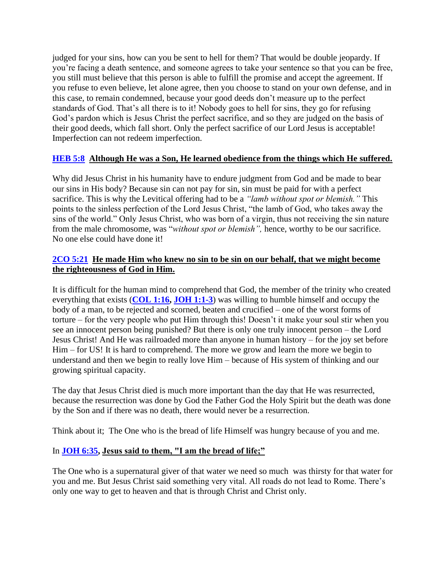judged for your sins, how can you be sent to hell for them? That would be double jeopardy. If you're facing a death sentence, and someone agrees to take your sentence so that you can be free, you still must believe that this person is able to fulfill the promise and accept the agreement. If you refuse to even believe, let alone agree, then you choose to stand on your own defense, and in this case, to remain condemned, because your good deeds don't measure up to the perfect standards of God. That's all there is to it! Nobody goes to hell for sins, they go for refusing God's pardon which is Jesus Christ the perfect sacrifice, and so they are judged on the basis of their good deeds, which fall short. Only the perfect sacrifice of our Lord Jesus is acceptable! Imperfection can not redeem imperfection.

# **[HEB 5:8](https://www.bibleserver.com/NIV/Hebrews5%3A8) Although He was a Son, He learned obedience from the things which He suffered.**

Why did Jesus Christ in his humanity have to endure judgment from God and be made to bear our sins in His body? Because sin can not pay for sin, sin must be paid for with a perfect sacrifice. This is why the Levitical offering had to be a *"lamb without spot or blemish."* This points to the sinless perfection of the Lord Jesus Christ, "the lamb of God, who takes away the sins of the world." Only Jesus Christ, who was born of a virgin, thus not receiving the sin nature from the male chromosome, was "*without spot or blemish",* hence, worthy to be our sacrifice. No one else could have done it!

## **[2CO 5:21](https://www.bibleserver.com/NIV/2%20Corinthians5%3A21) He made Him who knew no sin to be sin on our behalf, that we might become the righteousness of God in Him.**

It is difficult for the human mind to comprehend that God, the member of the trinity who created everything that exists (**[COL 1:16,](https://www.bibleserver.com/NIV/Colossians1%3A16) [JOH 1:1-3](https://www.bibleserver.com/NIV/John1%3A1-3)**) was willing to humble himself and occupy the body of a man, to be rejected and scorned, beaten and crucified – one of the worst forms of torture – for the very people who put Him through this! Doesn't it make your soul stir when you see an innocent person being punished? But there is only one truly innocent person – the Lord Jesus Christ! And He was railroaded more than anyone in human history – for the joy set before Him – for US! It is hard to comprehend. The more we grow and learn the more we begin to understand and then we begin to really love Him – because of His system of thinking and our growing spiritual capacity.

The day that Jesus Christ died is much more important than the day that He was resurrected, because the resurrection was done by God the Father God the Holy Spirit but the death was done by the Son and if there was no death, there would never be a resurrection.

Think about it; The One who is the bread of life Himself was hungry because of you and me.

## In **[JOH 6:35,](https://www.bibleserver.com/NIV/John6%3A35) Jesus said to them, "I am the bread of life;"**

The One who is a supernatural giver of that water we need so much was thirsty for that water for you and me. But Jesus Christ said something very vital. All roads do not lead to Rome. There's only one way to get to heaven and that is through Christ and Christ only.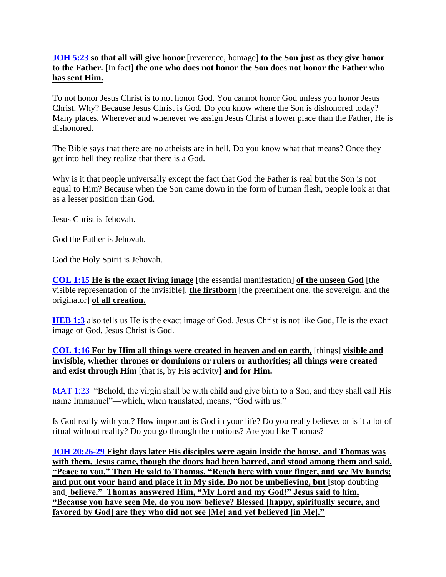## **[JOH 5:23](https://www.bibleserver.com/NIV/John5%3A23) so that all will give honor** [reverence, homage] **to the Son just as they give honor to the Father.** [In fact] **the one who does not honor the Son does not honor the Father who has sent Him.**

To not honor Jesus Christ is to not honor God. You cannot honor God unless you honor Jesus Christ. Why? Because Jesus Christ is God. Do you know where the Son is dishonored today? Many places. Wherever and whenever we assign Jesus Christ a lower place than the Father, He is dishonored.

The Bible says that there are no atheists are in hell. Do you know what that means? Once they get into hell they realize that there is a God.

Why is it that people universally except the fact that God the Father is real but the Son is not equal to Him? Because when the Son came down in the form of human flesh, people look at that as a lesser position than God.

Jesus Christ is Jehovah.

God the Father is Jehovah.

God the Holy Spirit is Jehovah.

**[COL 1:15](https://www.bibleserver.com/NIV/Colossians1%3A15) He is the exact living image** [the essential manifestation] **of the unseen God** [the visible representation of the invisible], **the firstborn** [the preeminent one, the sovereign, and the originator] **of all creation.**

**[HEB 1:3](https://www.bibleserver.com/NIV/Hebrews1%3A3)** also tells us He is the exact image of God. Jesus Christ is not like God, He is the exact image of God. Jesus Christ is God.

**[COL 1:16](https://www.bibleserver.com/NIV/Colossians1%3A16) For by Him all things were created in heaven and on earth,** [things] **visible and invisible, whether thrones or dominions or rulers or authorities; all things were created and exist through Him** [that is, by His activity] **and for Him.**

[MAT 1:23](https://www.bibleserver.com/NIV/Matthew1%3A23) "Behold, the virgin shall be with child and give birth to a Son, and they shall call His name Immanuel"—which, when translated, means, "God with us."

Is God really with you? How important is God in your life? Do you really believe, or is it a lot of ritual without reality? Do you go through the motions? Are you like Thomas?

**[JOH 20:26-29](https://www.bibleserver.com/NIV/John20%3A26-29) Eight days later His disciples were again inside the house, and Thomas was with them. Jesus came, though the doors had been barred, and stood among them and said, "Peace to you." Then He said to Thomas, "Reach here with your finger, and see My hands; and put out your hand and place it in My side. Do not be unbelieving, but** [stop doubting and] **believe." Thomas answered Him, "My Lord and my God!" Jesus said to him, "Because you have seen Me, do you now believe? Blessed [happy, spiritually secure, and favored by God] are they who did not see [Me] and yet believed [in Me]."**